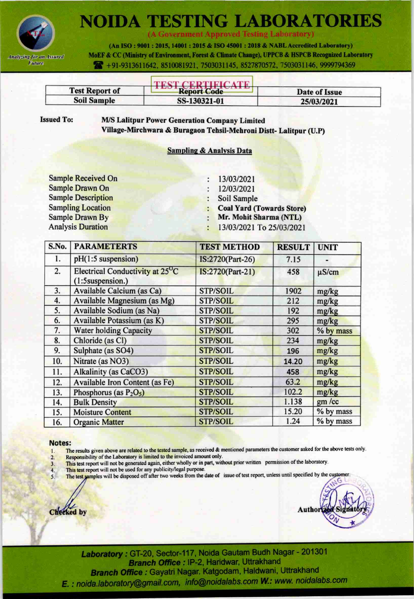

**NOIDA TESTING LABORATORIES** 

(A Government Approved Testing Laboratory)

(An ISO: 9001: 2015, 14001: 2015 & ISO 45001: 2018 & NABL Accredited Laboratory) MoEF & CC (Ministry of Environment, Forest & Climate Change), UPPCB & HSPCB Recognized Laboratory 491-9313611642, 8510081921, 7503031145, 8527870572, 7503031146, 9999794369

|                       | <b>LEAST CRRIBER CATE</b> |               |
|-----------------------|---------------------------|---------------|
| <b>Test Report of</b> | Report Code               | Date of Issue |
| Soil Sample           | SS-130321-01              | 25/03/2021    |

**Issued To:** 

**M/S Lalitpur Power Generation Company Limited** Village-Mirchwara & Buragaon Tehsil-Mehroni Distt- Lalitpur (U.P)

## **Sampling & Analysis Data**

 $\ddot{\cdot}$ 

**Sample Received On** Sample Drawn On **Sample Description Sampling Location Sample Drawn By Analysis Duration** 

13/03/2021 12/03/2021

Soil Sample :

**Coal Yard (Towards Store)**  $\mathcal{V}$  .

Mr. Mohit Sharma (NTL)  $\mathcal{L}$ 

13/03/2021 To 25/03/2021

| S.No. | <b>PARAMETERTS</b>                                               | <b>TEST METHOD</b> | <b>RESULT</b> | <b>UNIT</b> |
|-------|------------------------------------------------------------------|--------------------|---------------|-------------|
| 1.    | pH(1:5 suspension)                                               | IS:2720(Part-26)   | 7.15          |             |
| 2.    | Electrical Conductivity at 25 <sup>°</sup> C<br>(1:5suspension.) | IS:2720(Part-21)   | 458           | $\mu$ S/cm  |
| 3.    | Available Calcium (as Ca)                                        | <b>STP/SOIL</b>    | 1902          | mg/kg       |
| 4.    | Available Magnesium (as Mg)                                      | <b>STP/SOIL</b>    | 212           | mg/kg       |
| 5.    | Available Sodium (as Na)                                         | <b>STP/SOIL</b>    | 192           | mg/kg       |
| 6.    | Available Potassium (as K)                                       | <b>STP/SOIL</b>    | 295           | mg/kg       |
| 7.    | <b>Water holding Capacity</b>                                    | <b>STP/SOIL</b>    | 302           | % by mass   |
| 8.    | Chloride (as Cl)                                                 | <b>STP/SOIL</b>    | 234           | mg/kg       |
| 9.    | Sulphate (as SO4)                                                | <b>STP/SOIL</b>    | 196           | mg/kg       |
| 10.   | Nitrate (as NO3)                                                 | <b>STP/SOIL</b>    | 14.20         | mg/kg       |
| 11.   | Alkalinity (as CaCO3)                                            | <b>STP/SOIL</b>    | 458           | mg/kg       |
| 12.   | Available Iron Content (as Fe)                                   | <b>STP/SOIL</b>    | 63.2          | mg/kg       |
| 13.   | Phosphorus (as $P_2O_5$ )                                        | <b>STP/SOIL</b>    | 102.2         | mg/kg       |
| 14.   | <b>Bulk Density</b>                                              | <b>STP/SOIL</b>    | 1.138         | gm / cc     |
| 15.   | <b>Moisture Content</b>                                          | <b>STP/SOIL</b>    | 15.20         | % by mass   |
| 16.   | <b>Organic Matter</b>                                            | <b>STP/SOIL</b>    | 1.24          | % by mass   |

### **Notes:**

- The results given above are related to the tested sample, as received & mentioned parameters the customer asked for the above tests only.  $\mathbf{I}$
- Responsibility of the Laboratory is limited to the invoiced amount only.  $\overline{2}$ 
	- This test report will not be generated again, either wholly or in part, without prior written permission of the laboratory.
- $3.$ This test report will not be used for any publicity/legal purpose.  $4.$
- The test samples will be disposed off after two weeks from the date of issue of test report, unless until specified by the customer.  $\sim$

Cheeked by

**Author** 

Laboratory: GT-20, Sector-117, Noida Gautam Budh Nagar - 201301 Branch Office : IP-2, Haridwar, Uttrakhand Branch Office : Gayatri Nagar. Katgodam, Haldwani, Uttrakhand E. : noida.laboratory@gmail.com, info@noidalabs.com W.: www. noidalabs.com